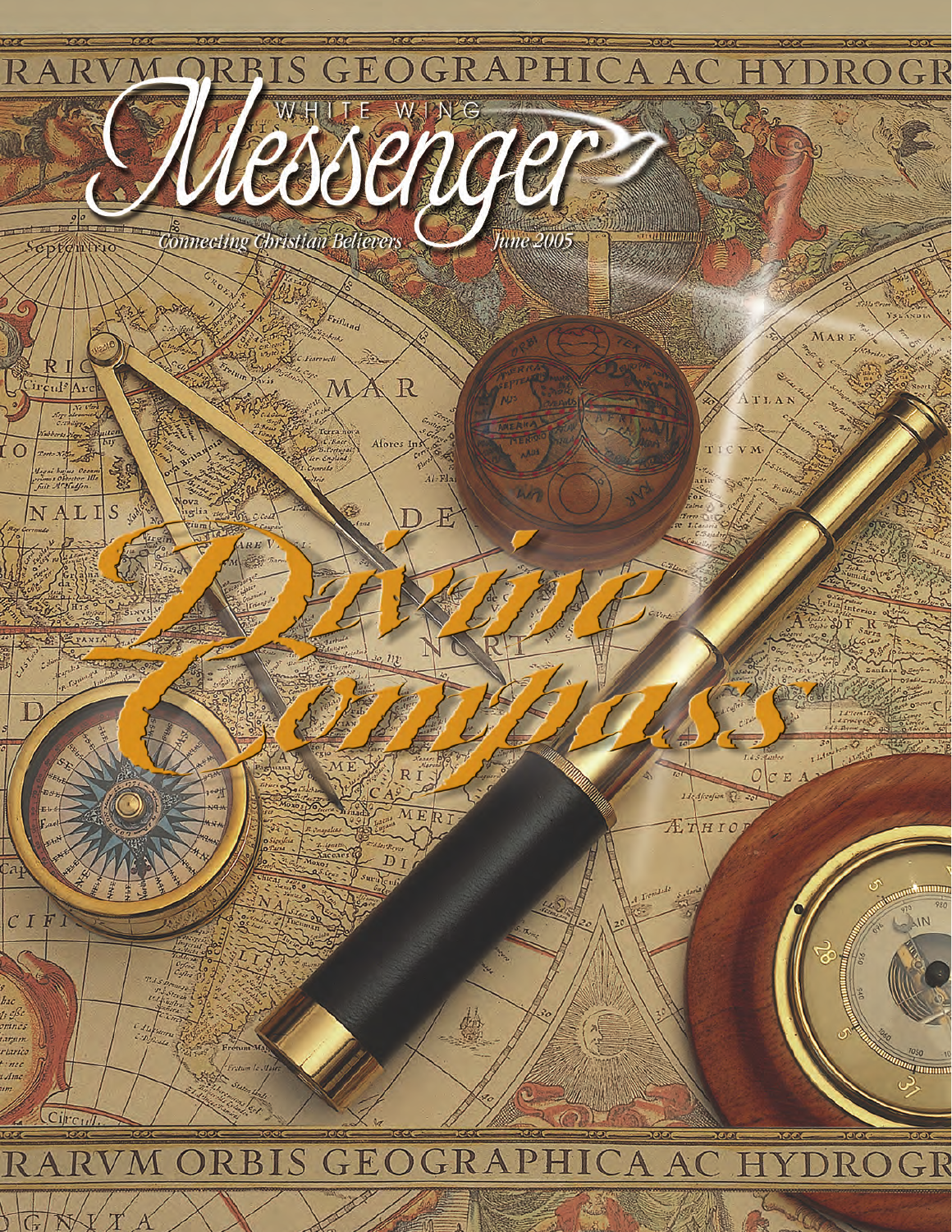